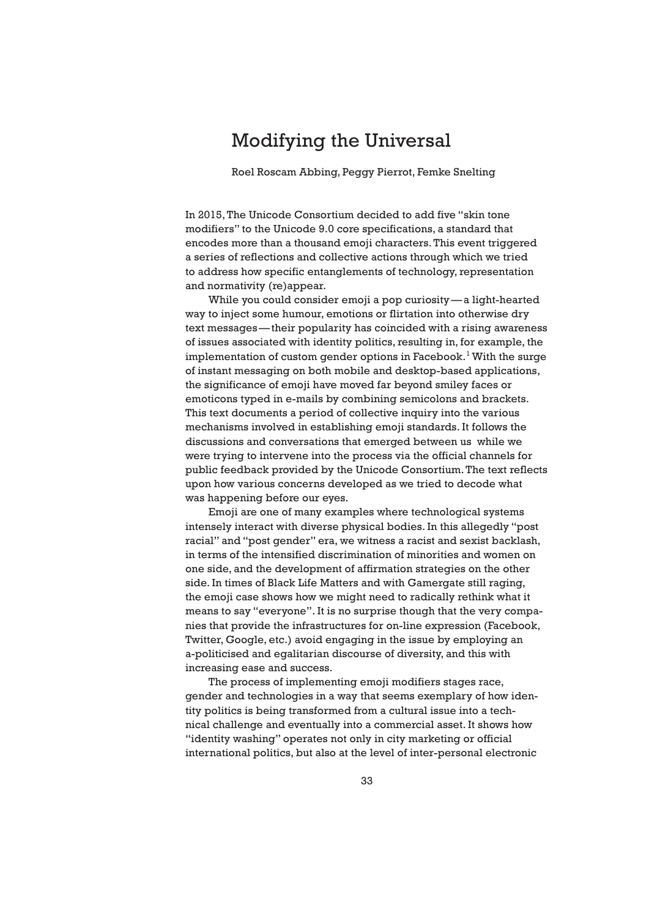# Modifying the Universal

Roel Roscam Abbing, Peggy Pierrot, Femke Snelting

In 2015, The Unicode Consortium decided to add five "skin tone modifiers" to the Unicode 9.0 core specifications, a standard that encodes more than a thousand emoji characters. This event triggered a series of reflections and collective actions through which we tried to address how specific entanglements of technology, representation and normativity (re)appear.

 While you could consider emoji a pop curiosity — a light-hearted way to inject some humour, emotions or flirtation into otherwise dry text messages — their popularity has coincided with a rising awareness of issues associated with identity politics, resulting in, for example, the implementation of custom gender options in Facebook. $^{\rm l}$  With the surge of instant messaging on both mobile and desktop-based applications, the significance of emoji have moved far beyond smiley faces or emoticons typed in e-mails by combining semicolons and brackets. This text documents a period of collective inquiry into the various mechanisms involved in establishing emoji standards. It follows the discussions and conversations that emerged between us while we were trying to intervene into the process via the official channels for public feedback provided by the Unicode Consortium. The text reflects upon how various concerns developed as we tried to decode what was happening before our eyes.

 Emoji are one of many examples where technological systems intensely interact with diverse physical bodies. In this allegedly "post racial" and "post gender" era, we witness a racist and sexist backlash, in terms of the intensified discrimination of minorities and women on one side, and the development of affirmation strategies on the other side. In times of Black Life Matters and with Gamergate still raging, the emoji case shows how we might need to radically rethink what it means to say "everyone". It is no surprise though that the very companies that provide the infrastructures for on-line expression (Facebook, Twitter, Google, etc.) avoid engaging in the issue by employing an a-politicised and egalitarian discourse of diversity, and this with increasing ease and success.

 The process of implementing emoji modifiers stages race, gender and technologies in a way that seems exemplary of how identity politics is being transformed from a cultural issue into a technical challenge and eventually into a commercial asset. It shows how "identity washing" operates not only in city marketing or official international politics, but also at the level of inter-personal electronic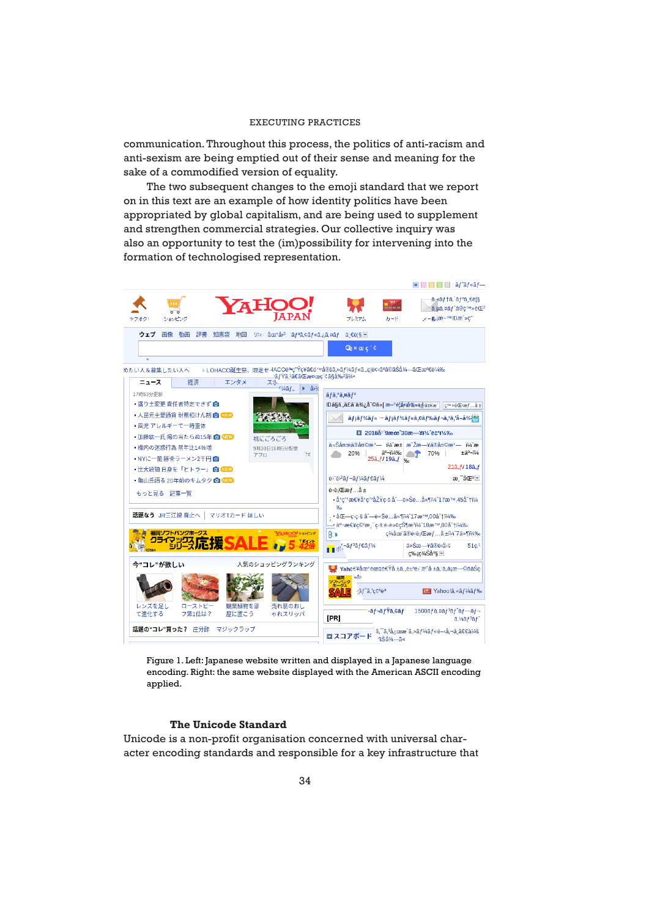communication. Throughout this process, the politics of anti-racism and anti-sexism are being emptied out of their sense and meaning for the sake of a commodified version of equality.

 The two subsequent changes to the emoji standard that we report on in this text are an example of how identity politics have been appropriated by global capitalism, and are being used to supplement and strengthen commercial strategies. Our collective inquiry was also an opportunity to test the (im)possibility for intervening into the formation of technologised representation.



Figure 1. Left: Japanese website written and displayed in a Japanese language encoding. Right: the same website displayed with the American ASCII encoding applied.

## **The Unicode Standard**

Unicode is a non-profit organisation concerned with universal character encoding standards and responsible for a key infrastructure that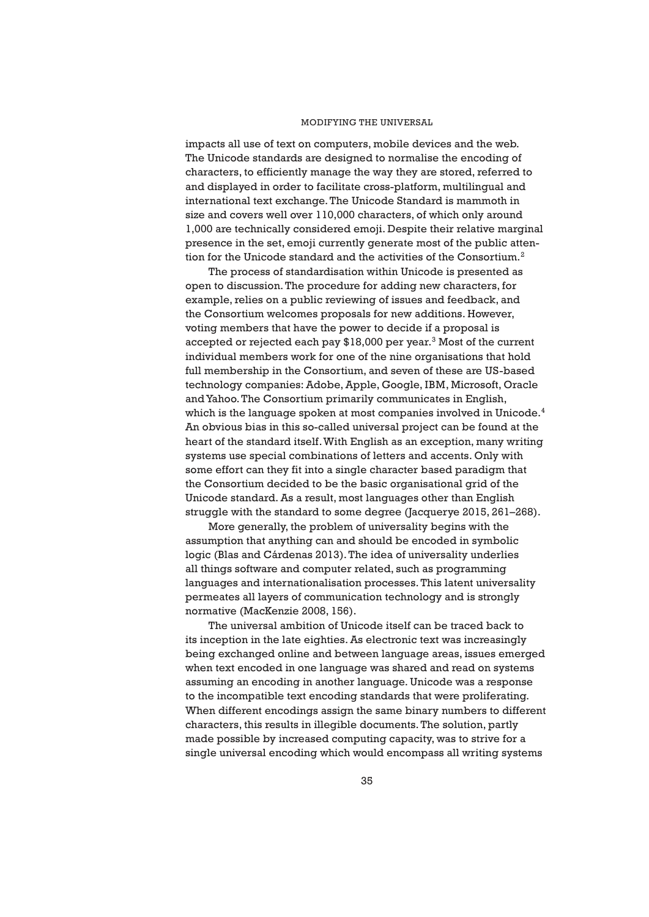impacts all use of text on computers, mobile devices and the web. The Unicode standards are designed to normalise the encoding of characters, to efficiently manage the way they are stored, referred to and displayed in order to facilitate cross-platform, multilingual and international text exchange. The Unicode Standard is mammoth in size and covers well over 110,000 characters, of which only around 1,000 are technically considered emoji. Despite their relative marginal presence in the set, emoji currently generate most of the public attention for the Unicode standard and the activities of the Consortium.<sup>2</sup>

 The process of standardisation within Unicode is presented as open to discussion. The procedure for adding new characters, for example, relies on a public reviewing of issues and feedback, and the Consortium welcomes proposals for new additions. However, voting members that have the power to decide if a proposal is accepted or rejected each pay \$18,000 per year.<sup>3</sup> Most of the current individual members work for one of the nine organisations that hold full membership in the Consortium, and seven of these are US-based technology companies: Adobe, Apple, Google, IBM, Microsoft, Oracle and Yahoo. The Consortium primarily communicates in English, which is the language spoken at most companies involved in Unicode.<sup>4</sup> An obvious bias in this so-called universal project can be found at the heart of the standard itself. With English as an exception, many writing systems use special combinations of letters and accents. Only with some effort can they fit into a single character based paradigm that the Consortium decided to be the basic organisational grid of the Unicode standard. As a result, most languages other than English struggle with the standard to some degree (Jacquerye 2015, 261–268).

 More generally, the problem of universality begins with the assumption that anything can and should be encoded in symbolic logic (Blas and Cárdenas 2013). The idea of universality underlies all things software and computer related, such as programming languages and internationalisation processes. This latent universality permeates all layers of communication technology and is strongly normative (MacKenzie 2008, 156).

 The universal ambition of Unicode itself can be traced back to its inception in the late eighties. As electronic text was increasingly being exchanged online and between language areas, issues emerged when text encoded in one language was shared and read on systems assuming an encoding in another language. Unicode was a response to the incompatible text encoding standards that were proliferating. When different encodings assign the same binary numbers to different characters, this results in illegible documents. The solution, partly made possible by increased computing capacity, was to strive for a single universal encoding which would encompass all writing systems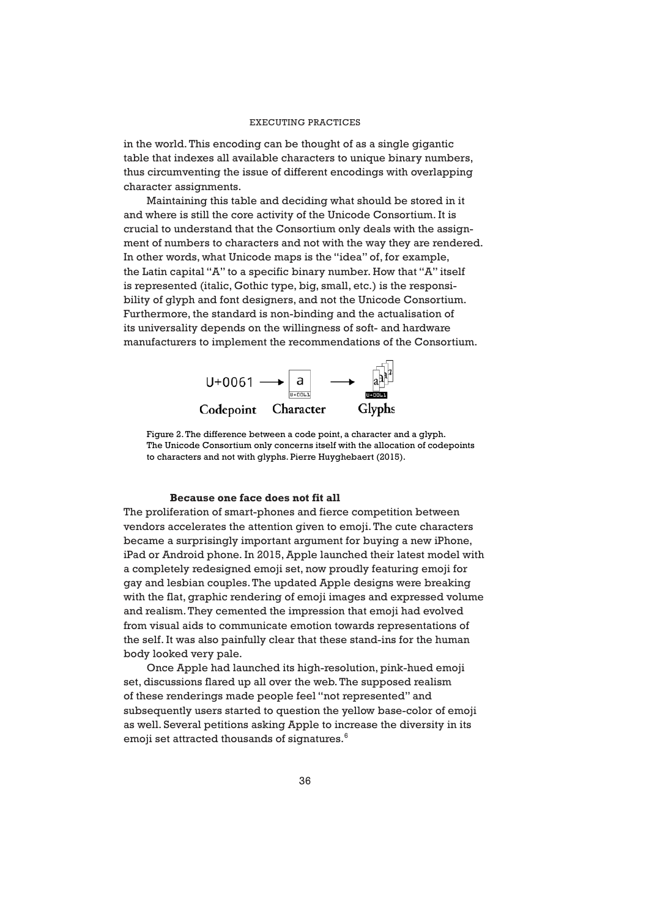in the world. This encoding can be thought of as a single gigantic table that indexes all available characters to unique binary numbers, thus circumventing the issue of different encodings with overlapping character assignments.

 Maintaining this table and deciding what should be stored in it and where is still the core activity of the Unicode Consortium. It is crucial to understand that the Consortium only deals with the assignment of numbers to characters and not with the way they are rendered. In other words, what Unicode maps is the "idea" of, for example, the Latin capital "A" to a specific binary number. How that "A" itself is represented (italic, Gothic type, big, small, etc.) is the responsibility of glyph and font designers, and not the Unicode Consortium. Furthermore, the standard is non-binding and the actualisation of its universality depends on the willingness of soft- and hardware manufacturers to implement the recommendations of the Consortium.



Figure 2. The difference between a code point, a character and a glyph. The Unicode Consortium only concerns itself with the allocation of codepoints to characters and not with glyphs. Pierre Huyghebaert (2015).

## **Because one face does not fit all**

The proliferation of smart-phones and fierce competition between vendors accelerates the attention given to emoji. The cute characters became a surprisingly important argument for buying a new iPhone, iPad or Android phone. In 2015, Apple launched their latest model with a completely redesigned emoji set, now proudly featuring emoji for gay and lesbian couples. The updated Apple designs were breaking with the flat, graphic rendering of emoji images and expressed volume and realism. They cemented the impression that emoji had evolved from visual aids to communicate emotion towards representations of the self. It was also painfully clear that these stand-ins for the human body looked very pale.

 Once Apple had launched its high-resolution, pink-hued emoji set, discussions flared up all over the web. The supposed realism of these renderings made people feel "not represented" and subsequently users started to question the yellow base-color of emoji as well. Several petitions asking Apple to increase the diversity in its emoji set attracted thousands of signatures.6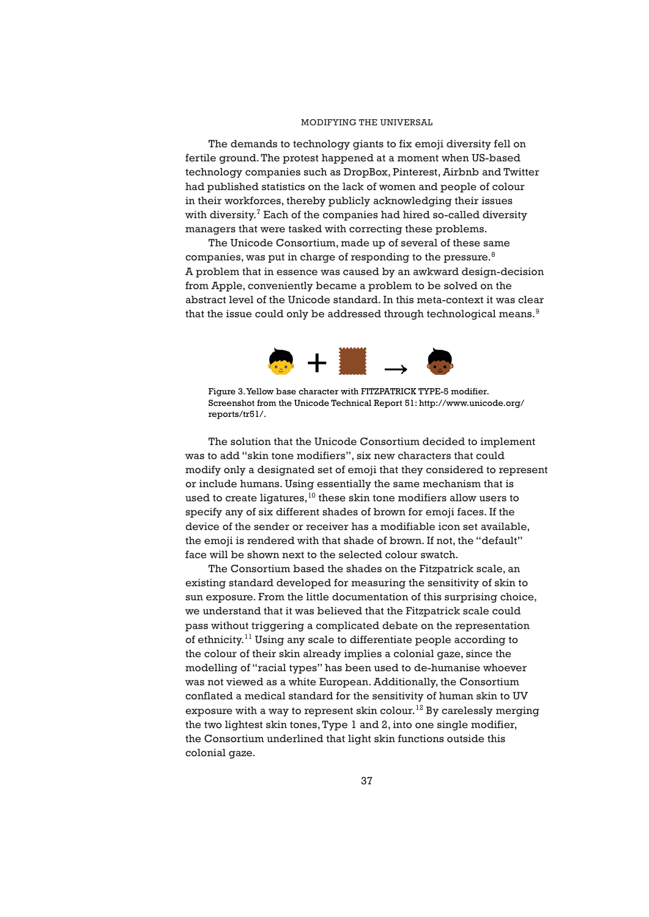The demands to technology giants to fix emoji diversity fell on fertile ground. The protest happened at a moment when US-based technology companies such as DropBox, Pinterest, Airbnb and Twitter had published statistics on the lack of women and people of colour in their workforces, thereby publicly acknowledging their issues with diversity. $7$  Each of the companies had hired so-called diversity managers that were tasked with correcting these problems.

 The Unicode Consortium, made up of several of these same companies, was put in charge of responding to the pressure. $8$ A problem that in essence was caused by an awkward design-decision from Apple, conveniently became a problem to be solved on the abstract level of the Unicode standard. In this meta-context it was clear that the issue could only be addressed through technological means.<sup>9</sup>



Figure 3. Yellow base character with FITZPATRICK TYPE-5 modifier. Screenshot from the Unicode Technical Report 51: http://www.unicode.org/ reports/tr51/.

 The solution that the Unicode Consortium decided to implement was to add "skin tone modifiers", six new characters that could modify only a designated set of emoji that they considered to represent or include humans. Using essentially the same mechanism that is used to create ligatures,  $10$  these skin tone modifiers allow users to specify any of six different shades of brown for emoji faces. If the device of the sender or receiver has a modifiable icon set available, the emoji is rendered with that shade of brown. If not, the "default" face will be shown next to the selected colour swatch.

 The Consortium based the shades on the Fitzpatrick scale, an existing standard developed for measuring the sensitivity of skin to sun exposure. From the little documentation of this surprising choice, we understand that it was believed that the Fitzpatrick scale could pass without triggering a complicated debate on the representation of ethnicity.<sup>11</sup> Using any scale to differentiate people according to the colour of their skin already implies a colonial gaze, since the modelling of "racial types" has been used to de-humanise whoever was not viewed as a white European. Additionally, the Consortium conflated a medical standard for the sensitivity of human skin to UV exposure with a way to represent skin colour.<sup>12</sup> By carelessly merging the two lightest skin tones, Type 1 and 2, into one single modifier, the Consortium underlined that light skin functions outside this colonial gaze.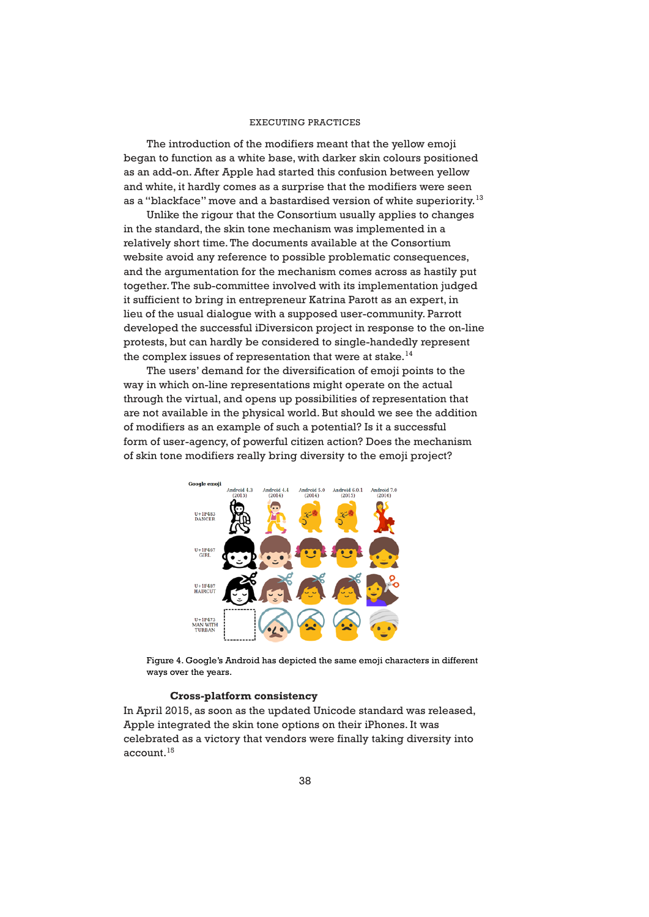The introduction of the modifiers meant that the yellow emoji began to function as a white base, with darker skin colours positioned as an add-on. After Apple had started this confusion between yellow and white, it hardly comes as a surprise that the modifiers were seen as a "blackface" move and a bastardised version of white superiority.<sup>13</sup>

 Unlike the rigour that the Consortium usually applies to changes in the standard, the skin tone mechanism was implemented in a relatively short time. The documents available at the Consortium website avoid any reference to possible problematic consequences, and the argumentation for the mechanism comes across as hastily put together. The sub-committee involved with its implementation judged it sufficient to bring in entrepreneur Katrina Parott as an expert, in lieu of the usual dialogue with a supposed user-community. Parrott developed the successful iDiversicon project in response to the on-line protests, but can hardly be considered to single-handedly represent the complex issues of representation that were at stake. $14$ 

 The users' demand for the diversification of emoji points to the way in which on-line representations might operate on the actual through the virtual, and opens up possibilities of representation that are not available in the physical world. But should we see the addition of modifiers as an example of such a potential? Is it a successful form of user-agency, of powerful citizen action? Does the mechanism of skin tone modifiers really bring diversity to the emoji project?



Figure 4. Google's Android has depicted the same emoji characters in different ways over the years.

## **Cross-platform consistency**

In April 2015, as soon as the updated Unicode standard was released, Apple integrated the skin tone options on their iPhones. It was celebrated as a victory that vendors were finally taking diversity into account.<sup>15</sup>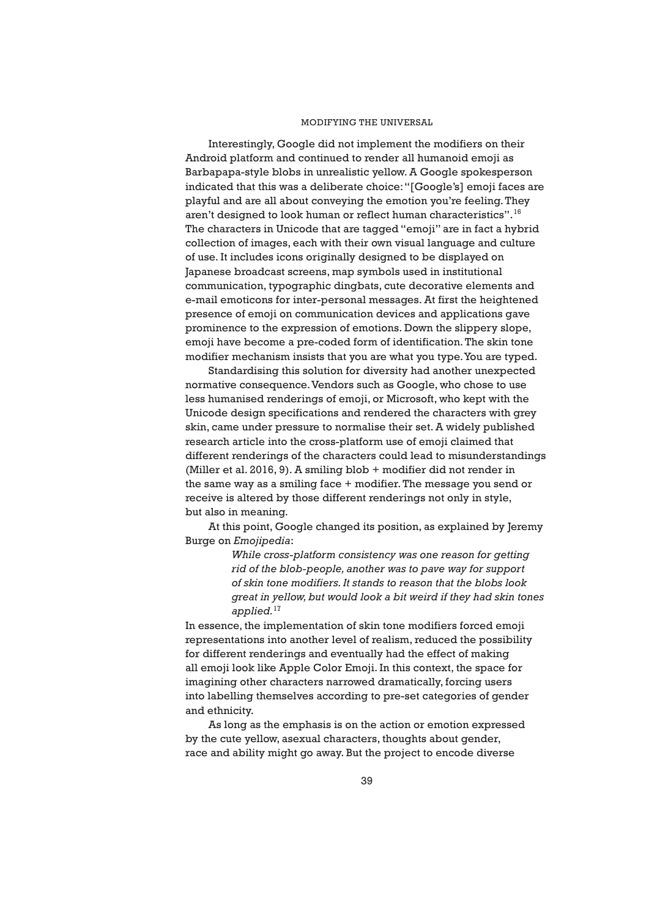Interestingly, Google did not implement the modifiers on their Android platform and continued to render all humanoid emoji as Barbapapa-style blobs in unrealistic yellow. A Google spokesperson indicated that this was a deliberate choice: "[Google's] emoji faces are playful and are all about conveying the emotion you're feeling. They aren't designed to look human or reflect human characteristics".16 The characters in Unicode that are tagged "emoji" are in fact a hybrid collection of images, each with their own visual language and culture of use. It includes icons originally designed to be displayed on Japanese broadcast screens, map symbols used in institutional communication, typographic dingbats, cute decorative elements and e-mail emoticons for inter-personal messages. At first the heightened presence of emoji on communication devices and applications gave prominence to the expression of emotions. Down the slippery slope, emoji have become a pre-coded form of identification. The skin tone modifier mechanism insists that you are what you type. You are typed.

 Standardising this solution for diversity had another unexpected normative consequence. Vendors such as Google, who chose to use less humanised renderings of emoji, or Microsoft, who kept with the Unicode design specifications and rendered the characters with grey skin, came under pressure to normalise their set. A widely published research article into the cross-platform use of emoji claimed that different renderings of the characters could lead to misunderstandings (Miller et al. 2016, 9). A smiling blob + modifier did not render in the same way as a smiling face + modifier. The message you send or receive is altered by those different renderings not only in style, but also in meaning.

 At this point, Google changed its position, as explained by Jeremy Burge on *Emojipedia*:

> *While cross-platform consistency was one reason for getting rid of the blob-people, another was to pave way for support of skin tone modifiers. It stands to reason that the blobs look great in yellow, but would look a bit weird if they had skin tones applied.*<sup>17</sup>

In essence, the implementation of skin tone modifiers forced emoji representations into another level of realism, reduced the possibility for different renderings and eventually had the effect of making all emoji look like Apple Color Emoji. In this context, the space for imagining other characters narrowed dramatically, forcing users into labelling themselves according to pre-set categories of gender and ethnicity.

 As long as the emphasis is on the action or emotion expressed by the cute yellow, asexual characters, thoughts about gender, race and ability might go away. But the project to encode diverse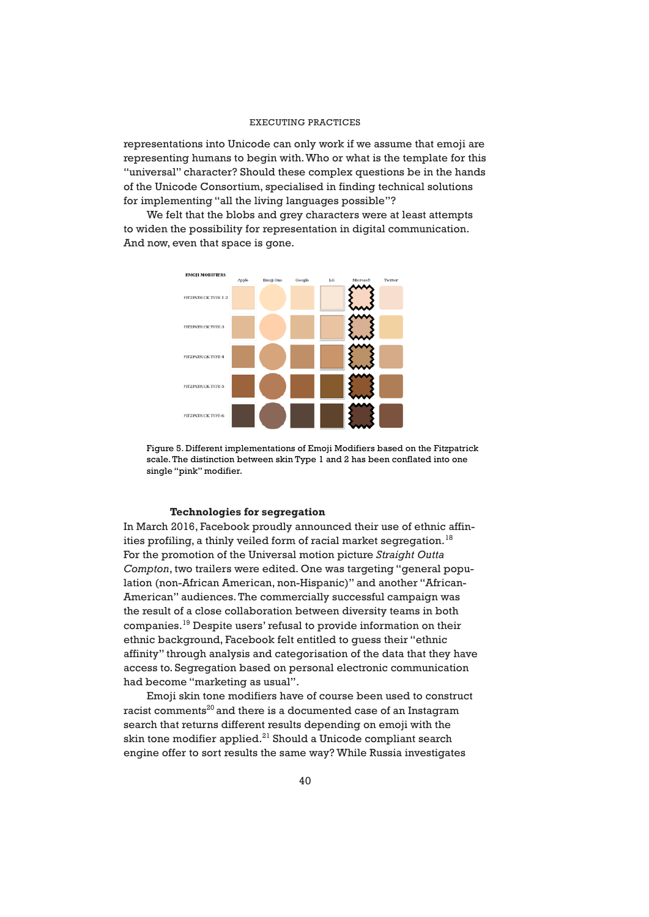representations into Unicode can only work if we assume that emoji are representing humans to begin with. Who or what is the template for this "universal" character? Should these complex questions be in the hands of the Unicode Consortium, specialised in finding technical solutions for implementing "all the living languages possible"?

 We felt that the blobs and grey characters were at least attempts to widen the possibility for representation in digital communication. And now, even that space is gone.



Figure 5. Different implementations of Emoji Modifiers based on the Fitzpatrick scale. The distinction between skin Type 1 and 2 has been conflated into one single "pink" modifier.

#### **Technologies for segregation**

In March 2016, Facebook proudly announced their use of ethnic affinities profiling, a thinly veiled form of racial market segregation.<sup>18</sup> For the promotion of the Universal motion picture *Straight Outta Compton*, two trailers were edited. One was targeting "general population (non-African American, non-Hispanic)" and another "African-American" audiences. The commercially successful campaign was the result of a close collaboration between diversity teams in both companies.19 Despite users' refusal to provide information on their ethnic background, Facebook felt entitled to guess their "ethnic affinity" through analysis and categorisation of the data that they have access to. Segregation based on personal electronic communication had become "marketing as usual".

 Emoji skin tone modifiers have of course been used to construct racist comments<sup>20</sup> and there is a documented case of an Instagram search that returns different results depending on emoji with the skin tone modifier applied.<sup>21</sup> Should a Unicode compliant search engine offer to sort results the same way? While Russia investigates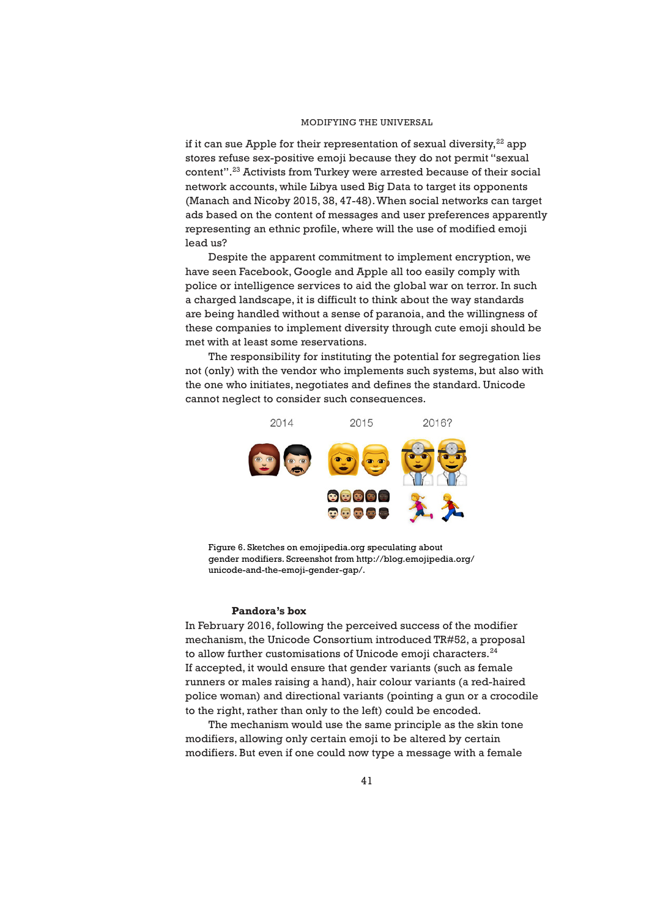if it can sue Apple for their representation of sexual diversity, $^{22}$  app stores refuse sex-positive emoji because they do not permit "sexual content".23 Activists from Turkey were arrested because of their social network accounts, while Libya used Big Data to target its opponents (Manach and Nicoby 2015, 38, 47-48). When social networks can target ads based on the content of messages and user preferences apparently representing an ethnic profile, where will the use of modified emoji lead us?

 Despite the apparent commitment to implement encryption, we have seen Facebook, Google and Apple all too easily comply with police or intelligence services to aid the global war on terror. In such a charged landscape, it is difficult to think about the way standards are being handled without a sense of paranoia, and the willingness of these companies to implement diversity through cute emoji should be met with at least some reservations.

 The responsibility for instituting the potential for segregation lies not (only) with the vendor who implements such systems, but also with the one who initiates, negotiates and defines the standard. Unicode cannot neglect to consider such consequences.



Figure 6. Sketches on emojipedia.org speculating about gender modifiers. Screenshot from http://blog.emojipedia.org/ unicode-and-the-emoji-gender-gap/.

#### **Pandora's box**

In February 2016, following the perceived success of the modifier mechanism, the Unicode Consortium introduced TR#52, a proposal to allow further customisations of Unicode emoji characters. $^{24}$ If accepted, it would ensure that gender variants (such as female runners or males raising a hand), hair colour variants (a red-haired police woman) and directional variants (pointing a gun or a crocodile to the right, rather than only to the left) could be encoded.

 The mechanism would use the same principle as the skin tone modifiers, allowing only certain emoji to be altered by certain modifiers. But even if one could now type a message with a female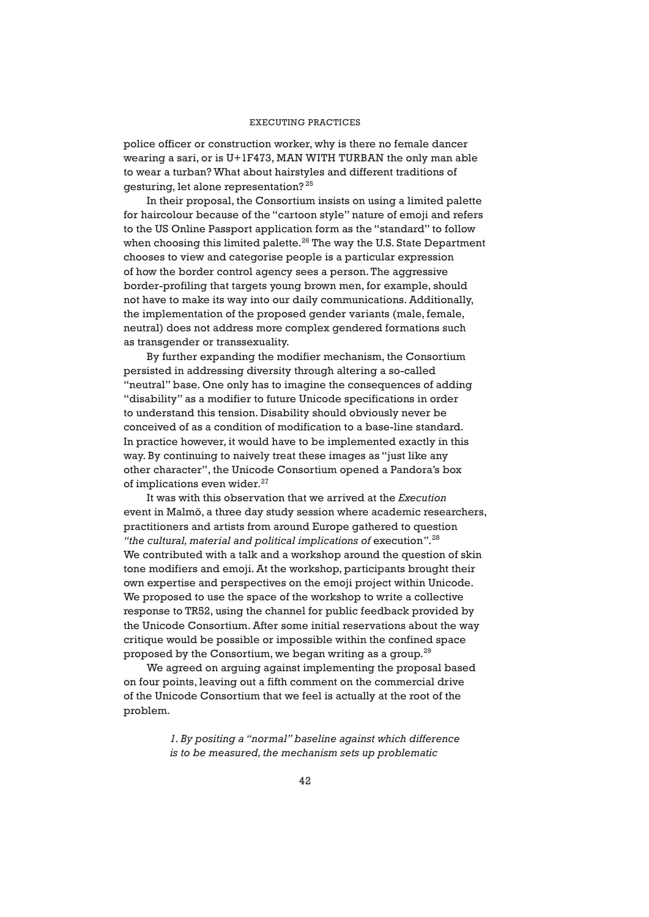police officer or construction worker, why is there no female dancer wearing a sari, or is U+1F473, MAN WITH TURBAN the only man able to wear a turban? What about hairstyles and different traditions of gesturing, let alone representation? 25

 In their proposal, the Consortium insists on using a limited palette for haircolour because of the "cartoon style" nature of emoji and refers to the US Online Passport application form as the "standard" to follow when choosing this limited palette. $26$  The way the U.S. State Department chooses to view and categorise people is a particular expression of how the border control agency sees a person. The aggressive border-profiling that targets young brown men, for example, should not have to make its way into our daily communications. Additionally, the implementation of the proposed gender variants (male, female, neutral) does not address more complex gendered formations such as transgender or transsexuality.

 By further expanding the modifier mechanism, the Consortium persisted in addressing diversity through altering a so-called "neutral" base. One only has to imagine the consequences of adding "disability" as a modifier to future Unicode specifications in order to understand this tension. Disability should obviously never be conceived of as a condition of modification to a base-line standard. In practice however, it would have to be implemented exactly in this way. By continuing to naively treat these images as "just like any other character", the Unicode Consortium opened a Pandora's box of implications even wider. $27$ 

 It was with this observation that we arrived at the *Execution* event in Malmö, a three day study session where academic researchers, practitioners and artists from around Europe gathered to question "the cultural, material and political implications of execution".<sup>28</sup> We contributed with a talk and a workshop around the question of skin tone modifiers and emoji. At the workshop, participants brought their own expertise and perspectives on the emoji project within Unicode. We proposed to use the space of the workshop to write a collective response to TR52, using the channel for public feedback provided by the Unicode Consortium. After some initial reservations about the way critique would be possible or impossible within the confined space proposed by the Consortium, we began writing as a group.<sup>29</sup>

 We agreed on arguing against implementing the proposal based on four points, leaving out a fifth comment on the commercial drive of the Unicode Consortium that we feel is actually at the root of the problem.

> *1. By positing a "normal" baseline against which difference is to be measured, the mechanism sets up problematic*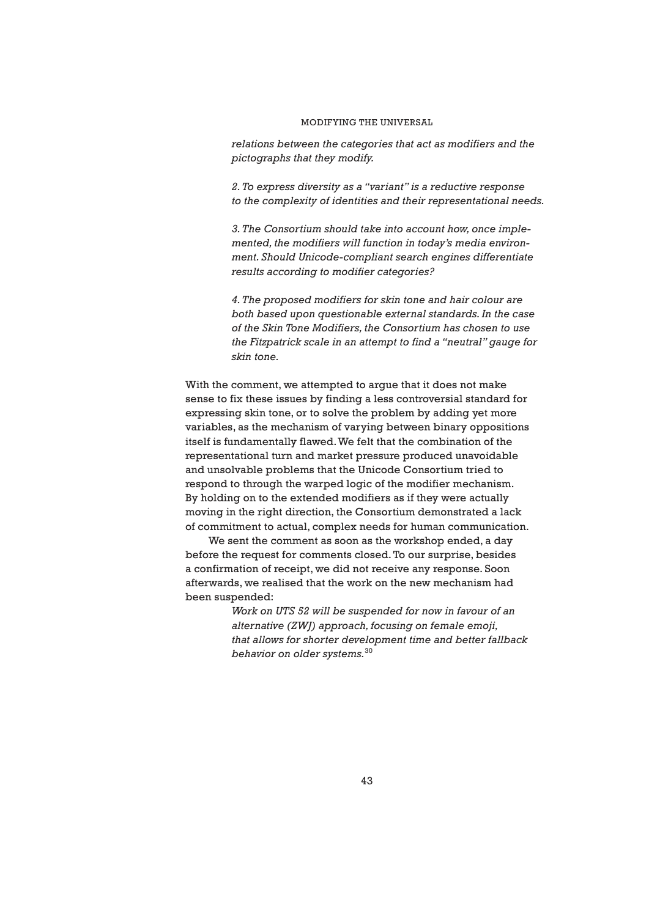*relations between the categories that act as modifiers and the pictographs that they modify.*

*2. To express diversity as a "variant" is a reductive response to the complexity of identities and their representational needs.*

*3. The Consortium should take into account how, once implemented, the modifiers will function in today's media environment. Should Unicode-compliant search engines differentiate results according to modifier categories?*

*4. The proposed modifiers for skin tone and hair colour are both based upon questionable external standards. In the case of the Skin Tone Modifiers, the Consortium has chosen to use the Fitzpatrick scale in an attempt to find a "neutral" gauge for skin tone.*

With the comment, we attempted to argue that it does not make sense to fix these issues by finding a less controversial standard for expressing skin tone, or to solve the problem by adding yet more variables, as the mechanism of varying between binary oppositions itself is fundamentally flawed. We felt that the combination of the representational turn and market pressure produced unavoidable and unsolvable problems that the Unicode Consortium tried to respond to through the warped logic of the modifier mechanism. By holding on to the extended modifiers as if they were actually moving in the right direction, the Consortium demonstrated a lack of commitment to actual, complex needs for human communication.

 We sent the comment as soon as the workshop ended, a day before the request for comments closed. To our surprise, besides a confirmation of receipt, we did not receive any response. Soon afterwards, we realised that the work on the new mechanism had been suspended:

> *Work on UTS 52 will be suspended for now in favour of an alternative (ZWJ) approach, focusing on female emoji, that allows for shorter development time and better fallback behavior on older systems.*30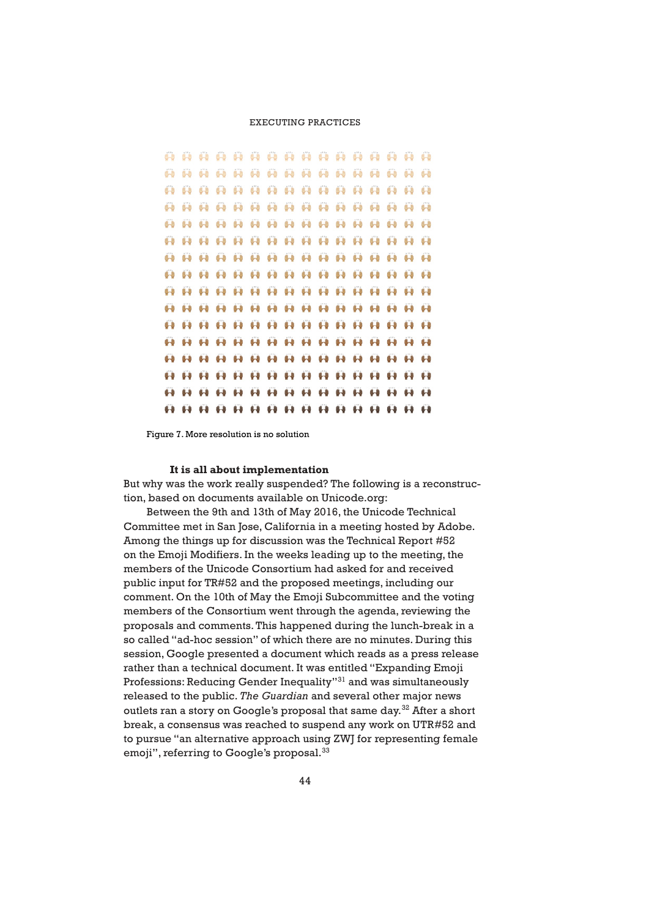. . . . . . . . . . . . . . . . . . **AAAAAAAAAAAAAAA 8888888888888888 A A A A A A A A A A A A A A A 00000000000000000** *<b><i><u><b>A A A A A A A A A A A A A A*</u> 8888888888888888 *<b>A* **A A A A A A A A A A A A A A A A A A A A A A A A A A A A A** .. .. .. .. .. .. .. .. .. .. .. .. .. . . . . . . . . . . . . . . . . . *<u>A A A A A A A A A A A A A A A</u>* **00000000000000000** 88888888888888888

Figure 7. More resolution is no solution

#### **It is all about implementation**

But why was the work really suspended? The following is a reconstruction, based on documents available on Unicode.org:

 Between the 9th and 13th of May 2016, the Unicode Technical Committee met in San Jose, California in a meeting hosted by Adobe. Among the things up for discussion was the Technical Report #52 on the Emoji Modifiers. In the weeks leading up to the meeting, the members of the Unicode Consortium had asked for and received public input for TR#52 and the proposed meetings, including our comment. On the 10th of May the Emoji Subcommittee and the voting members of the Consortium went through the agenda, reviewing the proposals and comments. This happened during the lunch-break in a so called "ad-hoc session" of which there are no minutes. During this session, Google presented a document which reads as a press release rather than a technical document. It was entitled "Expanding Emoji Professions: Reducing Gender Inequality"31 and was simultaneously released to the public. *The Guardian* and several other major news outlets ran a story on Google's proposal that same day.<sup>32</sup> After a short break, a consensus was reached to suspend any work on UTR#52 and to pursue "an alternative approach using ZWJ for representing female emoji", referring to Google's proposal.<sup>33</sup>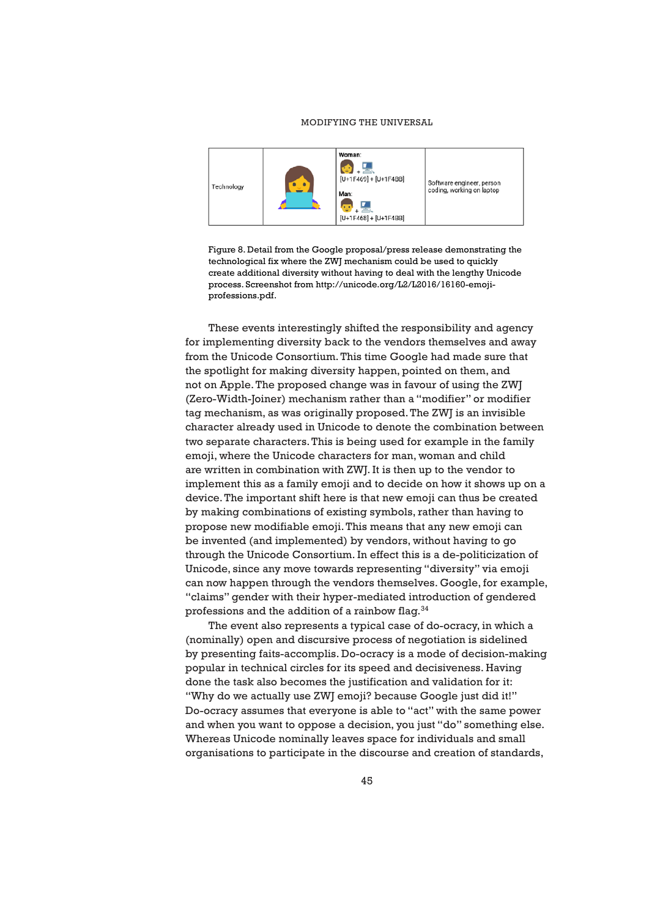

Figure 8. Detail from the Google proposal/press release demonstrating the technological fix where the ZWJ mechanism could be used to quickly create additional diversity without having to deal with the lengthy Unicode process. Screenshot from http://unicode.org/L2/L2016/16160-emojiprofessions.pdf.

 These events interestingly shifted the responsibility and agency for implementing diversity back to the vendors themselves and away from the Unicode Consortium. This time Google had made sure that the spotlight for making diversity happen, pointed on them, and not on Apple. The proposed change was in favour of using the ZWJ (Zero-Width-Joiner) mechanism rather than a "modifier" or modifier tag mechanism, as was originally proposed. The ZWJ is an invisible character already used in Unicode to denote the combination between two separate characters. This is being used for example in the family emoji, where the Unicode characters for man, woman and child are written in combination with ZWJ. It is then up to the vendor to implement this as a family emoji and to decide on how it shows up on a device. The important shift here is that new emoji can thus be created by making combinations of existing symbols, rather than having to propose new modifiable emoji. This means that any new emoji can be invented (and implemented) by vendors, without having to go through the Unicode Consortium. In effect this is a de-politicization of Unicode, since any move towards representing "diversity" via emoji can now happen through the vendors themselves. Google, for example, "claims" gender with their hyper-mediated introduction of gendered professions and the addition of a rainbow flag.34

 The event also represents a typical case of do-ocracy, in which a (nominally) open and discursive process of negotiation is sidelined by presenting faits-accomplis. Do-ocracy is a mode of decision-making popular in technical circles for its speed and decisiveness. Having done the task also becomes the justification and validation for it: "Why do we actually use ZWJ emoji? because Google just did it!" Do-ocracy assumes that everyone is able to "act" with the same power and when you want to oppose a decision, you just "do" something else. Whereas Unicode nominally leaves space for individuals and small organisations to participate in the discourse and creation of standards,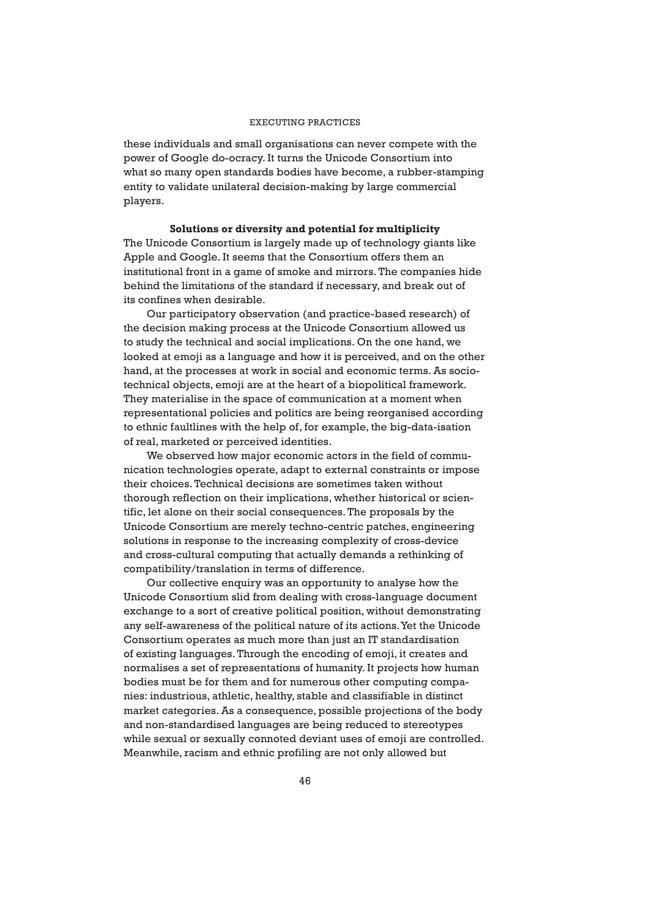these individuals and small organisations can never compete with the power of Google do-ocracy. It turns the Unicode Consortium into what so many open standards bodies have become, a rubber-stamping entity to validate unilateral decision-making by large commercial players.

#### **Solutions or diversity and potential for multiplicity**

The Unicode Consortium is largely made up of technology giants like Apple and Google. It seems that the Consortium offers them an institutional front in a game of smoke and mirrors. The companies hide behind the limitations of the standard if necessary, and break out of its confines when desirable.

 Our participatory observation (and practice-based research) of the decision making process at the Unicode Consortium allowed us to study the technical and social implications. On the one hand, we looked at emoji as a language and how it is perceived, and on the other hand, at the processes at work in social and economic terms. As sociotechnical objects, emoji are at the heart of a biopolitical framework. They materialise in the space of communication at a moment when representational policies and politics are being reorganised according to ethnic faultlines with the help of, for example, the big-data-isation of real, marketed or perceived identities.

 We observed how major economic actors in the field of communication technologies operate, adapt to external constraints or impose their choices. Technical decisions are sometimes taken without thorough reflection on their implications, whether historical or scientific, let alone on their social consequences. The proposals by the Unicode Consortium are merely techno-centric patches, engineering solutions in response to the increasing complexity of cross-device and cross-cultural computing that actually demands a rethinking of compatibility/translation in terms of difference.

 Our collective enquiry was an opportunity to analyse how the Unicode Consortium slid from dealing with cross-language document exchange to a sort of creative political position, without demonstrating any self-awareness of the political nature of its actions. Yet the Unicode Consortium operates as much more than just an IT standardisation of existing languages. Through the encoding of emoji, it creates and normalises a set of representations of humanity. It projects how human bodies must be for them and for numerous other computing companies: industrious, athletic, healthy, stable and classifiable in distinct market categories. As a consequence, possible projections of the body and non-standardised languages are being reduced to stereotypes while sexual or sexually connoted deviant uses of emoji are controlled. Meanwhile, racism and ethnic profiling are not only allowed but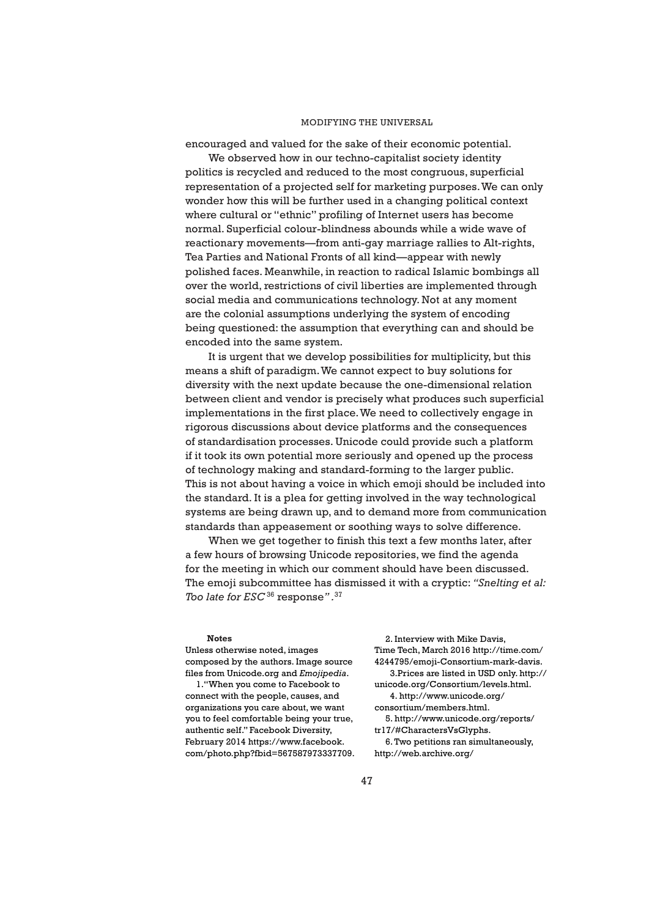encouraged and valued for the sake of their economic potential.

 We observed how in our techno-capitalist society identity politics is recycled and reduced to the most congruous, superficial representation of a projected self for marketing purposes. We can only wonder how this will be further used in a changing political context where cultural or "ethnic" profiling of Internet users has become normal. Superficial colour-blindness abounds while a wide wave of reactionary movements—from anti-gay marriage rallies to Alt-rights, Tea Parties and National Fronts of all kind—appear with newly polished faces. Meanwhile, in reaction to radical Islamic bombings all over the world, restrictions of civil liberties are implemented through social media and communications technology. Not at any moment are the colonial assumptions underlying the system of encoding being questioned: the assumption that everything can and should be encoded into the same system.

 It is urgent that we develop possibilities for multiplicity, but this means a shift of paradigm. We cannot expect to buy solutions for diversity with the next update because the one-dimensional relation between client and vendor is precisely what produces such superficial implementations in the first place. We need to collectively engage in rigorous discussions about device platforms and the consequences of standardisation processes. Unicode could provide such a platform if it took its own potential more seriously and opened up the process of technology making and standard-forming to the larger public. This is not about having a voice in which emoji should be included into the standard. It is a plea for getting involved in the way technological systems are being drawn up, and to demand more from communication standards than appeasement or soothing ways to solve difference.

 When we get together to finish this text a few months later, after a few hours of browsing Unicode repositories, we find the agenda for the meeting in which our comment should have been discussed. The emoji subcommittee has dismissed it with a cryptic: *"Snelting et al: Too late for ESC* 36 response*" .*<sup>37</sup>

#### **Notes**

Unless otherwise noted, images composed by the authors. Image source files from Unicode.org and *Emojipedia*.

1."When you come to Facebook to connect with the people, causes, and organizations you care about, we want you to feel comfortable being your true, authentic self." Facebook Diversity, February 2014 https://www.facebook. com/photo.php?fbid=567587973337709.

2. Interview with Mike Davis, Time Tech, March 2016 http://time.com/ 4244795/emoji-Consortium-mark-davis. 3.Prices are listed in USD only. http:// unicode.org/Consortium/levels.html. 4. http://www.unicode.org/ consortium/members.html. 5. http://www.unicode.org/reports/ tr17/#CharactersVsGlyphs. 6. Two petitions ran simultaneously, http://web.archive.org/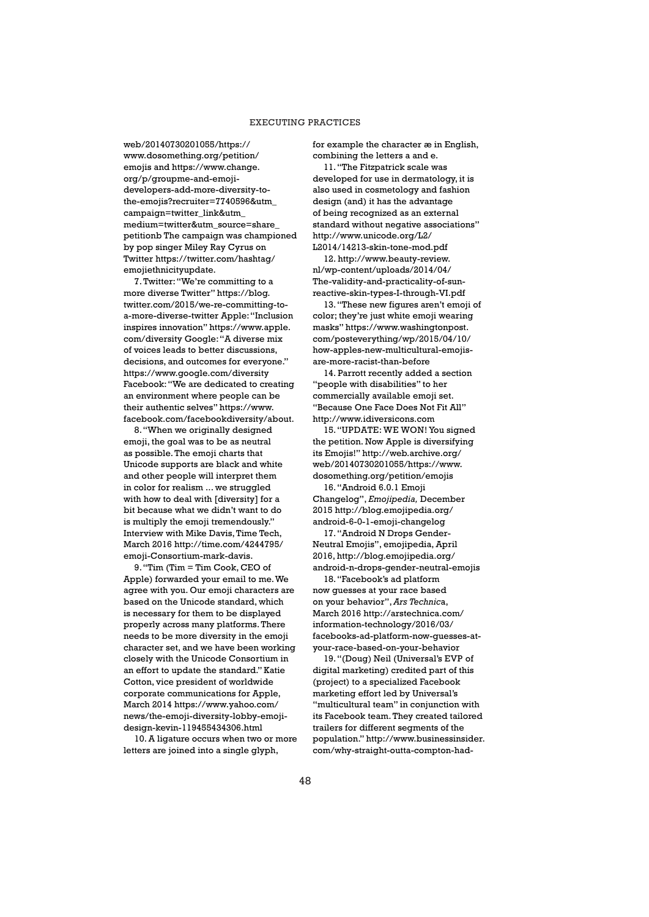web/20140730201055/https:// www.dosomething.org/petition/ emojis and https://www.change. org/p/groupme-and-emojidevelopers-add-more-diversity-tothe-emojis?recruiter=7740596&utm\_ campaign=twitter\_link&utm\_ medium=twitter&utm\_source=share\_ petitionb The campaign was championed by pop singer Miley Ray Cyrus on Twitter https://twitter.com/hashtag/ emojiethnicityupdate.

7. Twitter: "We're committing to a more diverse Twitter" https://blog. twitter.com/2015/we-re-committing-toa-more-diverse-twitter Apple: "Inclusion inspires innovation" https://www.apple. com/diversity Google: "A diverse mix of voices leads to better discussions, decisions, and outcomes for everyone." https://www.google.com/diversity Facebook: "We are dedicated to creating an environment where people can be their authentic selves" https://www. facebook.com/facebookdiversity/about.

8. "When we originally designed emoji, the goal was to be as neutral as possible. The emoji charts that Unicode supports are black and white and other people will interpret them in color for realism ... we struggled with how to deal with [diversity] for a bit because what we didn't want to do is multiply the emoji tremendously." Interview with Mike Davis, Time Tech, March 2016 http://time.com/4244795/ emoji-Consortium-mark-davis.

9. "Tim (Tim = Tim Cook, CEO of Apple) forwarded your email to me. We agree with you. Our emoji characters are based on the Unicode standard, which is necessary for them to be displayed properly across many platforms. There needs to be more diversity in the emoji character set, and we have been working closely with the Unicode Consortium in an effort to update the standard." Katie Cotton, vice president of worldwide corporate communications for Apple, March 2014 https://www.yahoo.com/ news/the-emoji-diversity-lobby-emojidesign-kevin-119455434306.html

10. A ligature occurs when two or more letters are joined into a single glyph,

for example the character æ in English, combining the letters a and e.

11. "The Fitzpatrick scale was developed for use in dermatology, it is also used in cosmetology and fashion design (and) it has the advantage of being recognized as an external standard without negative associations" http://www.unicode.org/L2/ L2014/14213-skin-tone-mod.pdf

12. http://www.beauty-review. nl/wp-content/uploads/2014/04/ The-validity-and-practicality-of-sunreactive-skin-types-I-through-VI.pdf

13. "These new figures aren't emoji of color; they're just white emoji wearing masks" https://www.washingtonpost. com/posteverything/wp/2015/04/10/ how-apples-new-multicultural-emojisare-more-racist-than-before

14. Parrott recently added a section "people with disabilities" to her commercially available emoji set. "Because One Face Does Not Fit All" http://www.idiversicons.com

15. "UPDATE: WE WON! You signed the petition. Now Apple is diversifying its Emojis!" http://web.archive.org/ web/20140730201055/https://www. dosomething.org/petition/emojis

16. "Android 6.0.1 Emoji Changelog", *Emojipedia,* December 2015 http://blog.emojipedia.org/ android-6-0-1-emoji-changelog

17. "Android N Drops Gender-Neutral Emojis", emojipedia, April 2016, http://blog.emojipedia.org/ android-n-drops-gender-neutral-emojis

18. "Facebook's ad platform now guesses at your race based on your behavior", *Ars Technic*a, March 2016 http://arstechnica.com/ information-technology/2016/03/ facebooks-ad-platform-now-guesses-atyour-race-based-on-your-behavior

19. "(Doug) Neil (Universal's EVP of digital marketing) credited part of this (project) to a specialized Facebook marketing effort led by Universal's "multicultural team" in conjunction with its Facebook team. They created tailored trailers for different segments of the population." http://www.businessinsider. com/why-straight-outta-compton-had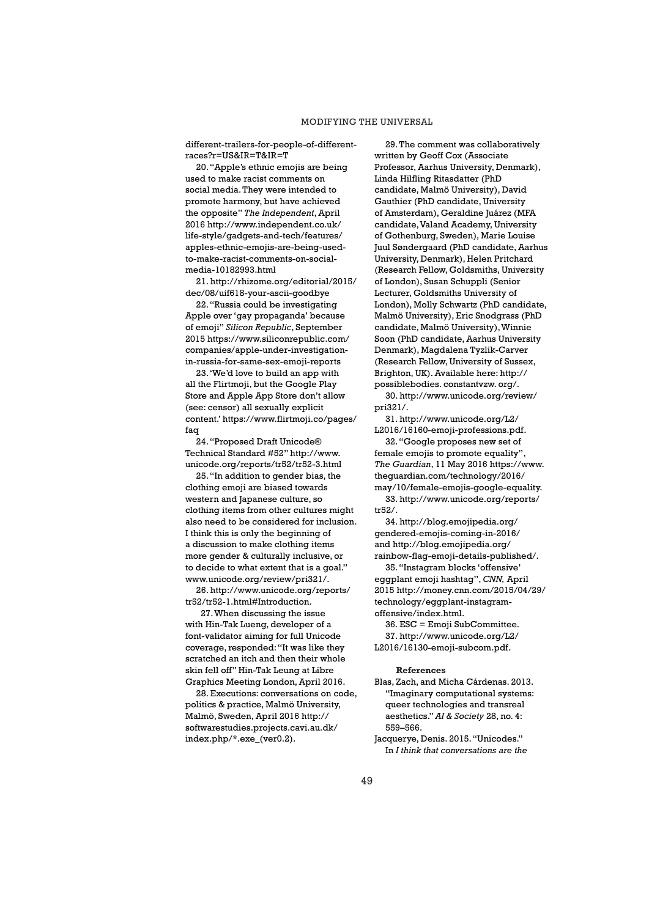different-trailers-for-people-of-differentraces?r=US&IR=T&IR=T

20. "Apple's ethnic emojis are being used to make racist comments on social media. They were intended to promote harmony, but have achieved the opposite" *The Independent*, April 2016 http://www.independent.co.uk/ life-style/gadgets-and-tech/features/ apples-ethnic-emojis-are-being-usedto-make-racist-comments-on-socialmedia-10182993.html

21. http://rhizome.org/editorial/2015/ dec/08/uif618-your-ascii-goodbye

22. "Russia could be investigating Apple over 'gay propaganda' because of emoji" *Silicon Republic*, September 2015 https://www.siliconrepublic.com/ companies/apple-under-investigationin-russia-for-same-sex-emoji-reports

23. 'We'd love to build an app with all the Flirtmoji, but the Google Play Store and Apple App Store don't allow (see: censor) all sexually explicit content.' https://www.flirtmoji.co/pages/ faq

24. "Proposed Draft Unicode® Technical Standard #52" http://www. unicode.org/reports/tr52/tr52-3.html

25. "In addition to gender bias, the clothing emoji are biased towards western and Japanese culture, so clothing items from other cultures might also need to be considered for inclusion. I think this is only the beginning of a discussion to make clothing items more gender & culturally inclusive, or to decide to what extent that is a goal." www.unicode.org/review/pri321/.

26. http://www.unicode.org/reports/ tr52/tr52-1.html#Introduction.

27. When discussing the issue with Hin-Tak Lueng, developer of a font-validator aiming for full Unicode coverage, responded: "It was like they scratched an itch and then their whole skin fell off" Hin-Tak Leung at Libre Graphics Meeting London, April 2016.

28. Executions: conversations on code, politics & practice, Malmö University, Malmö, Sweden, April 2016 http:// softwarestudies.projects.cavi.au.dk/ index.php/\*.exe\_(ver0.2).

29. The comment was collaboratively written by Geoff Cox (Associate Professor, Aarhus University, Denmark), Linda Hilfling Ritasdatter (PhD candidate, Malmö University), David Gauthier (PhD candidate, University of Amsterdam), Geraldine Juárez (MFA candidate, Valand Academy, University of Gothenburg, Sweden), Marie Louise Juul Søndergaard (PhD candidate, Aarhus University, Denmark), Helen Pritchard (Research Fellow, Goldsmiths, University of London), Susan Schuppli (Senior Lecturer, Goldsmiths University of London), Molly Schwartz (PhD candidate, Malmö University), Eric Snodgrass (PhD candidate, Malmö University), Winnie Soon (PhD candidate, Aarhus University Denmark), Magdalena Tyzlik-Carver (Research Fellow, University of Sussex, Brighton, UK). Available here: http:// possiblebodies. constantvzw. org/.

30. http://www.unicode.org/review/ pri321/.

31. http://www.unicode.org/L2/ L2016/16160-emoji-professions.pdf.

32. "Google proposes new set of female emojis to promote equality", *The Guardian*, 11 May 2016 https://www. theguardian.com/technology/2016/ may/10/female-emojis-google-equality. 33. http://www.unicode.org/reports/ tr52/.

34. http://blog.emojipedia.org/ gendered-emojis-coming-in-2016/ and http://blog.emojipedia.org/ rainbow-flag-emoji-details-published/.

35. "Instagram blocks 'offensive' eggplant emoji hashtag", *CNN,* April 2015 http://money.cnn.com/2015/04/29/ technology/eggplant-instagramoffensive/index.html.

36. ESC = Emoji SubCommittee. 37. http://www.unicode.org/L2/ L2016/16130-emoji-subcom.pdf.

#### **References**

- Blas, Zach, and Micha Cárdenas. 2013. "Imaginary computational systems: queer technologies and transreal aesthetics." *AI & Society* 28, no. 4: 559–566.
- Jacquerye, Denis. 2015. "Unicodes." In *I think that conversations are the*